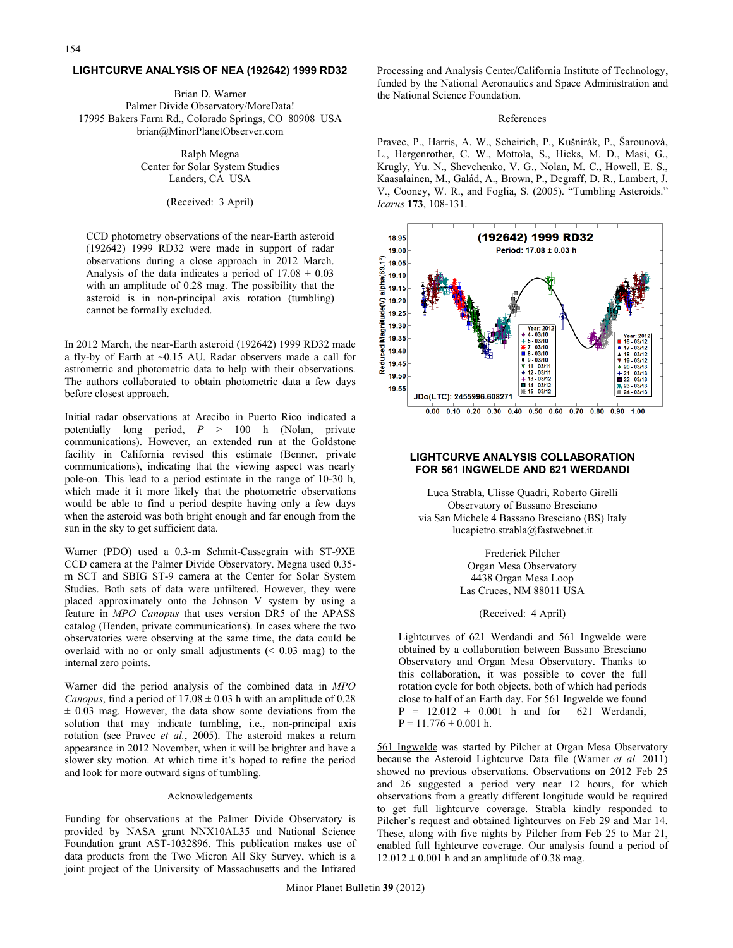### **LIGHTCURVE ANALYSIS OF NEA (192642) 1999 RD32**

Brian D. Warner Palmer Divide Observatory/MoreData! 17995 Bakers Farm Rd., Colorado Springs, CO 80908 USA brian@MinorPlanetObserver.com

> Ralph Megna Center for Solar System Studies Landers, CA USA

> > (Received: 3 April)

CCD photometry observations of the near-Earth asteroid (192642) 1999 RD32 were made in support of radar observations during a close approach in 2012 March. Analysis of the data indicates a period of  $17.08 \pm 0.03$ with an amplitude of 0.28 mag. The possibility that the asteroid is in non-principal axis rotation (tumbling) cannot be formally excluded.

In 2012 March, the near-Earth asteroid (192642) 1999 RD32 made a fly-by of Earth at ~0.15 AU. Radar observers made a call for astrometric and photometric data to help with their observations. The authors collaborated to obtain photometric data a few days before closest approach.

Initial radar observations at Arecibo in Puerto Rico indicated a potentially long period, *P* > 100 h (Nolan, private communications). However, an extended run at the Goldstone facility in California revised this estimate (Benner, private communications), indicating that the viewing aspect was nearly pole-on. This lead to a period estimate in the range of 10-30 h, which made it it more likely that the photometric observations would be able to find a period despite having only a few days when the asteroid was both bright enough and far enough from the sun in the sky to get sufficient data.

Warner (PDO) used a 0.3-m Schmit-Cassegrain with ST-9XE CCD camera at the Palmer Divide Observatory. Megna used 0.35 m SCT and SBIG ST-9 camera at the Center for Solar System Studies. Both sets of data were unfiltered. However, they were placed approximately onto the Johnson V system by using a feature in *MPO Canopus* that uses version DR5 of the APASS catalog (Henden, private communications). In cases where the two observatories were observing at the same time, the data could be overlaid with no or only small adjustments  $( $0.03$  mag) to the$ internal zero points.

Warner did the period analysis of the combined data in *MPO Canopus*, find a period of  $17.08 \pm 0.03$  h with an amplitude of 0.28  $\pm$  0.03 mag. However, the data show some deviations from the solution that may indicate tumbling, i.e., non-principal axis rotation (see Pravec *et al.*, 2005). The asteroid makes a return appearance in 2012 November, when it will be brighter and have a slower sky motion. At which time it's hoped to refine the period and look for more outward signs of tumbling.

# Acknowledgements

Funding for observations at the Palmer Divide Observatory is provided by NASA grant NNX10AL35 and National Science Foundation grant AST-1032896. This publication makes use of data products from the Two Micron All Sky Survey, which is a joint project of the University of Massachusetts and the Infrared

Processing and Analysis Center/California Institute of Technology, funded by the National Aeronautics and Space Administration and the National Science Foundation.

# References

Pravec, P., Harris, A. W., Scheirich, P., Kušnirák, P., Šarounová, L., Hergenrother, C. W., Mottola, S., Hicks, M. D., Masi, G., Krugly, Yu. N., Shevchenko, V. G., Nolan, M. C., Howell, E. S., Kaasalainen, M., Galád, A., Brown, P., Degraff, D. R., Lambert, J. V., Cooney, W. R., and Foglia, S. (2005). "Tumbling Asteroids." *Icarus* **173**, 108-131.



### **LIGHTCURVE ANALYSIS COLLABORATION FOR 561 INGWELDE AND 621 WERDANDI**

Luca Strabla, Ulisse Quadri, Roberto Girelli Observatory of Bassano Bresciano via San Michele 4 Bassano Bresciano (BS) Italy lucapietro.strabla@fastwebnet.it

> Frederick Pilcher Organ Mesa Observatory 4438 Organ Mesa Loop Las Cruces, NM 88011 USA

## (Received: 4 April)

Lightcurves of 621 Werdandi and 561 Ingwelde were obtained by a collaboration between Bassano Bresciano Observatory and Organ Mesa Observatory. Thanks to this collaboration, it was possible to cover the full rotation cycle for both objects, both of which had periods close to half of an Earth day. For 561 Ingwelde we found  $P = 12.012 \pm 0.001$  h and for 621 Werdandi,  $P = 11.776 \pm 0.001$  h.

561 Ingwelde was started by Pilcher at Organ Mesa Observatory because the Asteroid Lightcurve Data file (Warner *et al.* 2011) showed no previous observations. Observations on 2012 Feb 25 and 26 suggested a period very near 12 hours, for which observations from a greatly different longitude would be required to get full lightcurve coverage. Strabla kindly responded to Pilcher's request and obtained lightcurves on Feb 29 and Mar 14. These, along with five nights by Pilcher from Feb 25 to Mar 21, enabled full lightcurve coverage. Our analysis found a period of  $12.012 \pm 0.001$  h and an amplitude of 0.38 mag.